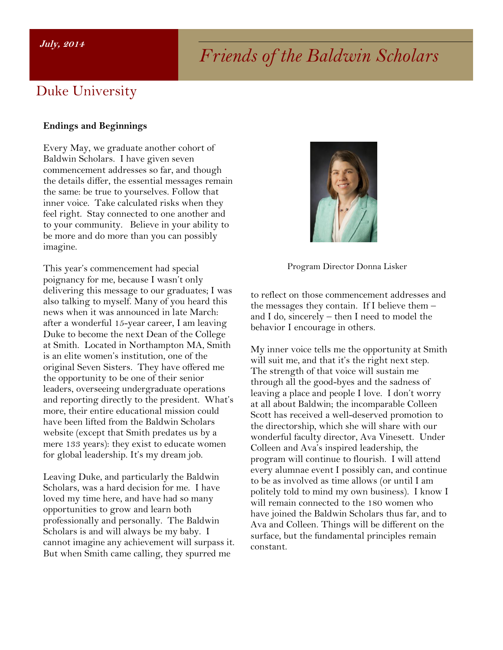# *Friends of the Baldwin Scholars*

#### Duke University

#### **Endings and Beginnings**

Every May, we graduate another cohort of Baldwin Scholars. I have given seven commencement addresses so far, and though the details differ, the essential messages remain the same: be true to yourselves. Follow that inner voice. Take calculated risks when they feel right. Stay connected to one another and to your community. Believe in your ability to be more and do more than you can possibly imagine.

This year's commencement had special poignancy for me, because I wasn't only delivering this message to our graduates; I was also talking to myself. Many of you heard this news when it was announced in late March: after a wonderful 15-year career, I am leaving Duke to become the next Dean of the College at Smith. Located in Northampton MA, Smith is an elite women's institution, one of the original Seven Sisters. They have offered me the opportunity to be one of their senior leaders, overseeing undergraduate operations and reporting directly to the president. What's more, their entire educational mission could have been lifted from the Baldwin Scholars website (except that Smith predates us by a mere 133 years): they exist to educate women for global leadership. It's my dream job.

Leaving Duke, and particularly the Baldwin Scholars, was a hard decision for me. I have loved my time here, and have had so many opportunities to grow and learn both professionally and personally. The Baldwin Scholars is and will always be my baby. I cannot imagine any achievement will surpass it. But when Smith came calling, they spurred me



Program Director Donna Lisker

to reflect on those commencement addresses and the messages they contain. If I believe them – and I do, sincerely – then I need to model the behavior I encourage in others.

My inner voice tells me the opportunity at Smith will suit me, and that it's the right next step. The strength of that voice will sustain me through all the good-byes and the sadness of leaving a place and people I love. I don't worry at all about Baldwin; the incomparable Colleen Scott has received a well-deserved promotion to the directorship, which she will share with our wonderful faculty director, Ava Vinesett. Under Colleen and Ava's inspired leadership, the program will continue to flourish. I will attend every alumnae event I possibly can, and continue to be as involved as time allows (or until I am politely told to mind my own business). I know I will remain connected to the 180 women who have joined the Baldwin Scholars thus far, and to Ava and Colleen. Things will be different on the surface, but the fundamental principles remain constant.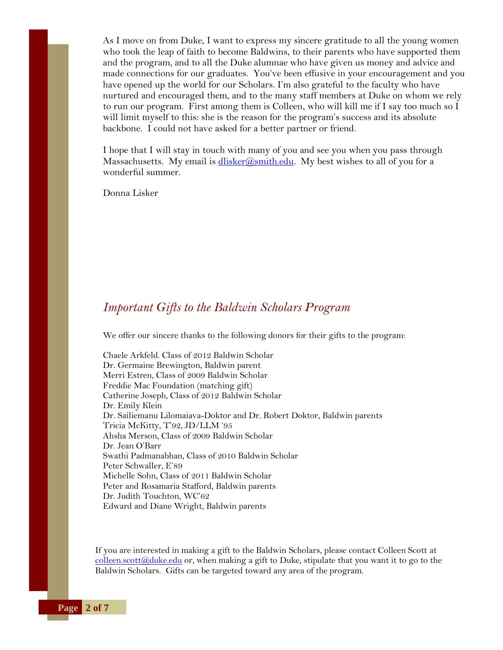As I move on from Duke, I want to express my sincere gratitude to all the young women who took the leap of faith to become Baldwins, to their parents who have supported them and the program, and to all the Duke alumnae who have given us money and advice and made connections for our graduates. You've been effusive in your encouragement and you have opened up the world for our Scholars. I'm also grateful to the faculty who have nurtured and encouraged them, and to the many staff members at Duke on whom we rely to run our program. First among them is Colleen, who will kill me if I say too much so I will limit myself to this: she is the reason for the program's success and its absolute backbone. I could not have asked for a better partner or friend.

I hope that I will stay in touch with many of you and see you when you pass through Massachusetts. My email is  $d\theta$  lisker (*a*) smith.edu. My best wishes to all of you for a wonderful summer.

Donna Lisker

#### *Important Gifts to the Baldwin Scholars Program*

We offer our sincere thanks to the following donors for their gifts to the program:

Chaele Arkfeld. Class of 2012 Baldwin Scholar Dr. Germaine Brewington, Baldwin parent Merri Estren, Class of 2009 Baldwin Scholar Freddie Mac Foundation (matching gift) Catherine Joseph, Class of 2012 Baldwin Scholar Dr. Emily Klein Dr. Sailiemanu Lilomaiava-Doktor and Dr. Robert Doktor, Baldwin parents Tricia McKitty, T'92, JD/LLM '95 Ahsha Merson, Class of 2009 Baldwin Scholar Dr. Jean O'Barr Swathi Padmanabhan, Class of 2010 Baldwin Scholar Peter Schwaller, E'89 Michelle Sohn, Class of 2011 Baldwin Scholar Peter and Rosamaria Stafford, Baldwin parents Dr. Judith Touchton, WC'62 Edward and Diane Wright, Baldwin parents

If you are interested in making a gift to the Baldwin Scholars, please contact Colleen Scott at colleen.scott@duke.edu or, when making a gift to Duke, stipulate that you want it to go to the Baldwin Scholars. Gifts can be targeted toward any area of the program.

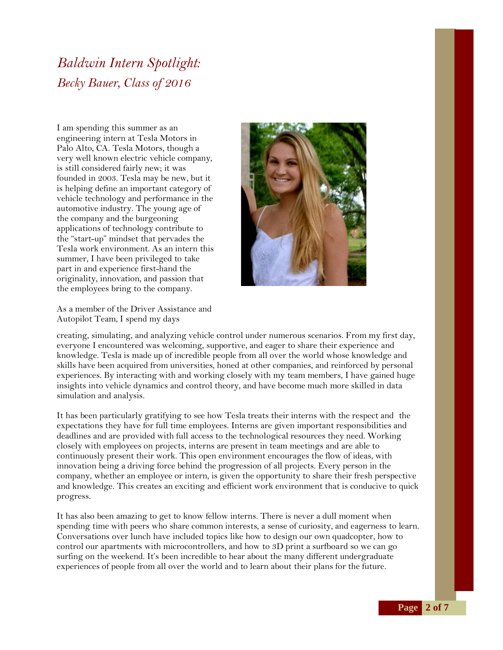## *Baldwin Intern Spotlight: Becky Bauer, Class of 2016*

I am spending this summer as an engineering intern at Tesla Motors in Palo Alto, CA. Tesla Motors, though a very well known electric vehicle company, is still considered fairly new; it was founded in 2003. Tesla may be new, but it is helping define an important category of vehicle technology and performance in the automotive industry. The young age of the company and the burgeoning applications of technology contribute to the "start-up" mindset that pervades the Tesla work environment. As an intern this summer, I have been privileged to take part in and experience first-hand the originality, innovation, and passion that the employees bring to the company.



As a member of the Driver Assistance and Autopilot Team, I spend my days

creating, simulating, and analyzing vehicle control under numerous scenarios. From my first day, everyone I encountered was welcoming, supportive, and eager to share their experience and knowledge. Tesla is made up of incredible people from all over the world whose knowledge and skills have been acquired from universities, honed at other companies, and reinforced by personal experiences. By interacting with and working closely with my team members, I have gained huge insights into vehicle dynamics and control theory, and have become much more skilled in data simulation and analysis.

It has been particularly gratifying to see how Tesla treats their interns with the respect and the expectations they have for full time employees. Interns are given important responsibilities and deadlines and are provided with full access to the technological resources they need. Working closely with employees on projects, interns are present in team meetings and are able to continuously present their work. This open environment encourages the flow of ideas, with innovation being a driving force behind the progression of all projects. Every person in the company, whether an employee or intern, is given the opportunity to share their fresh perspective and knowledge. This creates an exciting and efficient work environment that is conducive to quick progress.

It has also been amazing to get to know fellow interns. There is never a dull moment when spending time with peers who share common interests, a sense of curiosity, and eagerness to learn. Conversations over lunch have included topics like how to design our own quadcopter, how to control our apartments with microcontrollers, and how to 3D print a surfboard so we can go surfing on the weekend. It's been incredible to hear about the many different undergraduate experiences of people from all over the world and to learn about their plans for the future.

specific skills to a broader appreciation about how to efficiently run a company. Participating in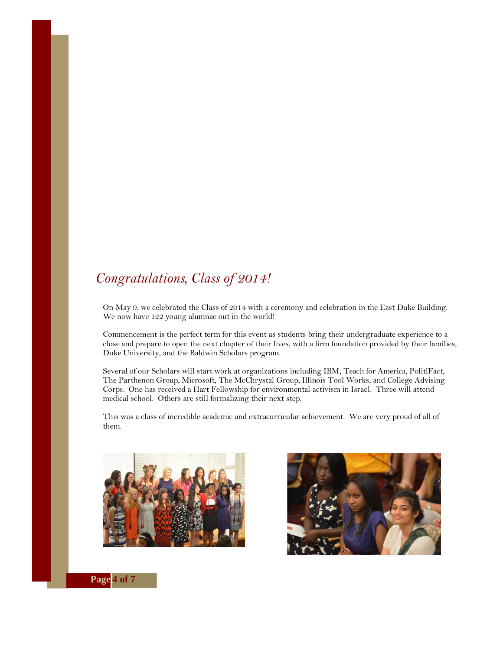### *Congratulations, Class of 2014!*

On May 9, we celebrated the Class of 2014 with a ceremony and celebration in the East Duke Building. We now have 122 young alumnae out in the world!

Commencement is the perfect term for this event as students bring their undergraduate experience to a close and prepare to open the next chapter of their lives, with a firm foundation provided by their families, Duke University, and the Baldwin Scholars program.

Several of our Scholars will start work at organizations including IBM, Teach for America, PolitiFact, The Parthenon Group, Microsoft, The McChrystal Group, Illinois Tool Works, and College Advising Corps. One has received a Hart Fellowship for environmental activism in Israel. Three will attend medical school. Others are still formalizing their next step.

This was a class of incredible academic and extracurricular achievement. We are very proud of all of them.





**Page 4 of 7**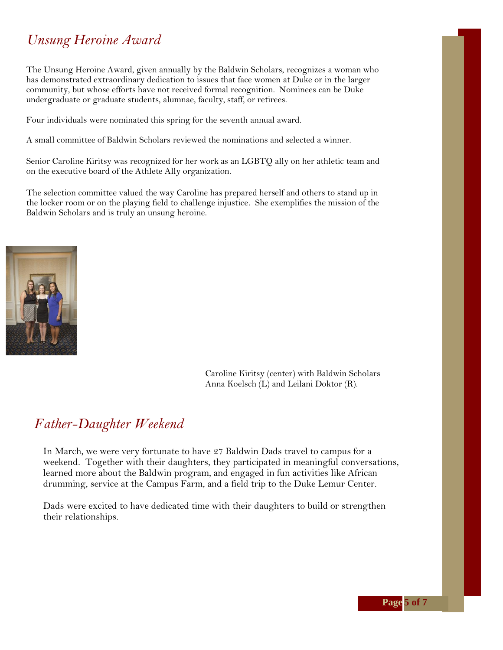### *Unsung Heroine Award*

The Unsung Heroine Award, given annually by the Baldwin Scholars, recognizes a woman who has demonstrated extraordinary dedication to issues that face women at Duke or in the larger community, but whose efforts have not received formal recognition. Nominees can be Duke undergraduate or graduate students, alumnae, faculty, staff, or retirees.

Four individuals were nominated this spring for the seventh annual award.

A small committee of Baldwin Scholars reviewed the nominations and selected a winner.

Senior Caroline Kiritsy was recognized for her work as an LGBTQ ally on her athletic team and on the executive board of the Athlete Ally organization.

The selection committee valued the way Caroline has prepared herself and others to stand up in the locker room or on the playing field to challenge injustice. She exemplifies the mission of the Baldwin Scholars and is truly an unsung heroine.



Caroline Kiritsy (center) with Baldwin Scholars Anna Koelsch (L) and Leilani Doktor (R).

#### *Father-Daughter Weekend*

In March, we were very fortunate to have 27 Baldwin Dads travel to campus for a weekend. Together with their daughters, they participated in meaningful conversations, learned more about the Baldwin program, and engaged in fun activities like African drumming, service at the Campus Farm, and a field trip to the Duke Lemur Center.

Dads were excited to have dedicated time with their daughters to build or strengthen their relationships.

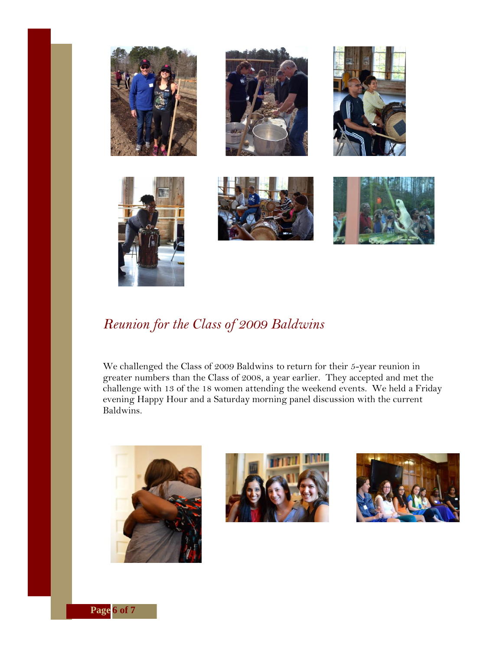











### *Reunion for the Class of 2009 Baldwins*

We challenged the Class of 2009 Baldwins to return for their 5-year reunion in greater numbers than the Class of 2008, a year earlier. They accepted and met the challenge with 13 of the 18 women attending the weekend events. We held a Friday evening Happy Hour and a Saturday morning panel discussion with the current Baldwins.